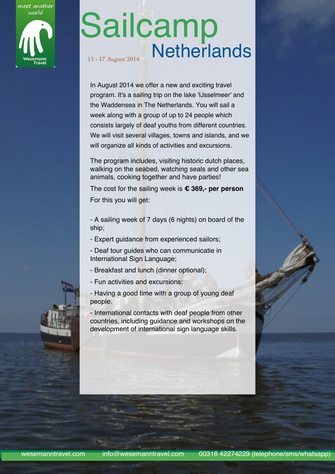meet another world

# Sailcamp 11 - 17 August 2014 Netherlands

In August 2014 we offer a new and exciting travel program. It's a sailing trip on the lake 'IJsselmeer' and the Waddensea in The Netherlands. You will sail a week along with a group of up to 24 people which consists largely of deaf youths from different countries. We will visit several villages, towns and islands, and we will organize all kinds of activities and excursions.

The program includes, visiting historic dutch places, walking on the seabed, watching seals and other sea animals, cooking together and have parties!

The cost for the sailing week is **€ 369,- per person** For this you will get:

- A sailing week of 7 days (6 nights) on board of the ship;

- Expert guidance from experienced sailors;

- Deaf tour guides who can communicatie in International Sign Language;

- Breakfast and lunch (dinner optional);
- Fun activities and excursions;

- Having a good time with a group of young deaf people.

- International contacts with deaf people from other countries, including guidance and workshops on the development of international sign language skills.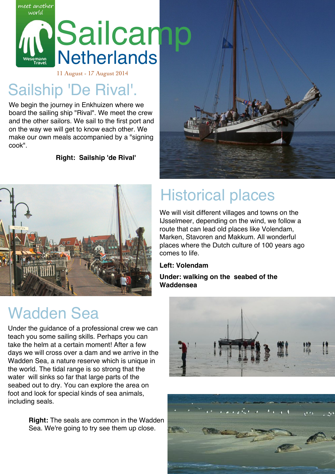

### 11 August - 17 August 2014

### Sailship 'De Rival'.

meet another

We begin the journey in Enkhuizen where we board the sailing ship "Rival". We meet the crew and the other sailors. We sail to the first port and on the way we will get to know each other. We make our own meals accompanied by a "signing cook".

**Right: Sailship 'de Rival'**



### Wadden Sea

Under the guidance of a professional crew we can teach you some sailing skills. Perhaps you can take the helm at a certain moment! After a few days we will cross over a dam and we arrive in the Wadden Sea, a nature reserve which is unique in the world. The tidal range is so strong that the water will sinks so far that large parts of the seabed out to dry. You can explore the area on foot and look for special kinds of sea animals, including seals.

> **Right:** The seals are common in the Wadden Sea. We're going to try see them up close.



## Historical places

We will visit different villages and towns on the IJsselmeer, depending on the wind, we follow a route that can lead old places like Volendam, Marken, Stavoren and Makkum. All wonderful places where the Dutch culture of 100 years ago comes to life.

#### **Left: Volendam**

#### **Under: walking on the seabed of the Waddensea**